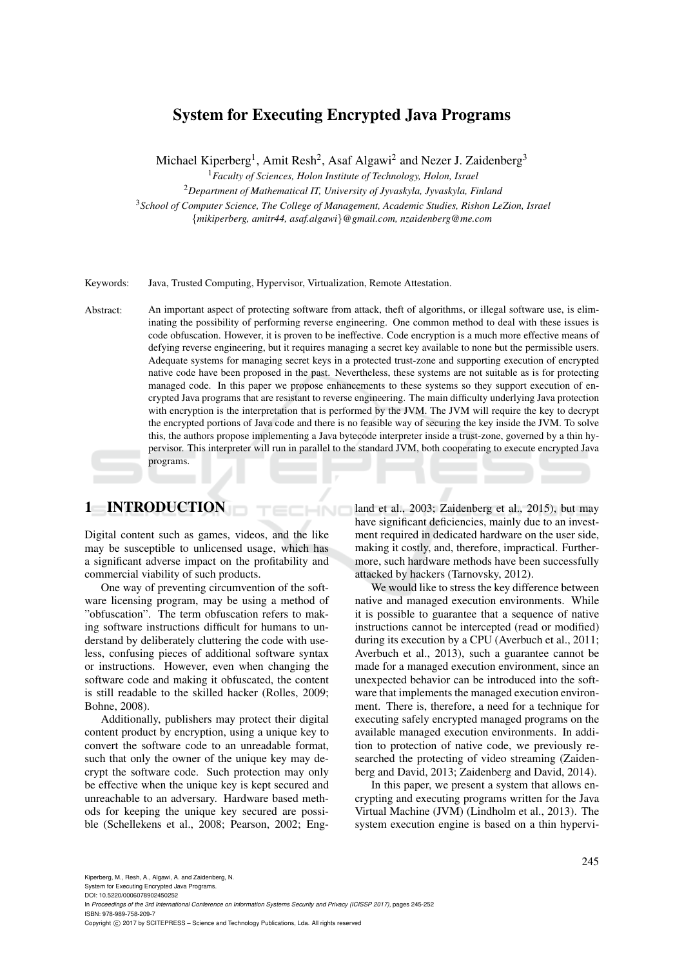# System for Executing Encrypted Java Programs

Michael Kiperberg<sup>1</sup>, Amit Resh<sup>2</sup>, Asaf Algawi<sup>2</sup> and Nezer J. Zaidenberg<sup>3</sup>

<sup>1</sup>*Faculty of Sciences, Holon Institute of Technology, Holon, Israel*

<sup>2</sup>*Department of Mathematical IT, University of Jyvaskyla, Jyvaskyla, Finland* <sup>3</sup>*School of Computer Science, The College of Management, Academic Studies, Rishon LeZion, Israel*

{*mikiperberg, amitr44, asaf.algawi*}*@gmail.com, nzaidenberg@me.com*

Keywords: Java, Trusted Computing, Hypervisor, Virtualization, Remote Attestation.

Abstract: An important aspect of protecting software from attack, theft of algorithms, or illegal software use, is eliminating the possibility of performing reverse engineering. One common method to deal with these issues is code obfuscation. However, it is proven to be ineffective. Code encryption is a much more effective means of defying reverse engineering, but it requires managing a secret key available to none but the permissible users. Adequate systems for managing secret keys in a protected trust-zone and supporting execution of encrypted native code have been proposed in the past. Nevertheless, these systems are not suitable as is for protecting managed code. In this paper we propose enhancements to these systems so they support execution of encrypted Java programs that are resistant to reverse engineering. The main difficulty underlying Java protection with encryption is the interpretation that is performed by the JVM. The JVM will require the key to decrypt the encrypted portions of Java code and there is no feasible way of securing the key inside the JVM. To solve this, the authors propose implementing a Java bytecode interpreter inside a trust-zone, governed by a thin hypervisor. This interpreter will run in parallel to the standard JVM, both cooperating to execute encrypted Java programs.

HNC

## 1 INTRODUCTION

Digital content such as games, videos, and the like may be susceptible to unlicensed usage, which has a significant adverse impact on the profitability and commercial viability of such products.

One way of preventing circumvention of the software licensing program, may be using a method of "obfuscation". The term obfuscation refers to making software instructions difficult for humans to understand by deliberately cluttering the code with useless, confusing pieces of additional software syntax or instructions. However, even when changing the software code and making it obfuscated, the content is still readable to the skilled hacker (Rolles, 2009; Bohne, 2008).

Additionally, publishers may protect their digital content product by encryption, using a unique key to convert the software code to an unreadable format, such that only the owner of the unique key may decrypt the software code. Such protection may only be effective when the unique key is kept secured and unreachable to an adversary. Hardware based methods for keeping the unique key secured are possible (Schellekens et al., 2008; Pearson, 2002; England et al., 2003; Zaidenberg et al., 2015), but may have significant deficiencies, mainly due to an investment required in dedicated hardware on the user side, making it costly, and, therefore, impractical. Furthermore, such hardware methods have been successfully attacked by hackers (Tarnovsky, 2012).

We would like to stress the key difference between native and managed execution environments. While it is possible to guarantee that a sequence of native instructions cannot be intercepted (read or modified) during its execution by a CPU (Averbuch et al., 2011; Averbuch et al., 2013), such a guarantee cannot be made for a managed execution environment, since an unexpected behavior can be introduced into the software that implements the managed execution environment. There is, therefore, a need for a technique for executing safely encrypted managed programs on the available managed execution environments. In addition to protection of native code, we previously researched the protecting of video streaming (Zaidenberg and David, 2013; Zaidenberg and David, 2014).

In this paper, we present a system that allows encrypting and executing programs written for the Java Virtual Machine (JVM) (Lindholm et al., 2013). The system execution engine is based on a thin hypervi-

System for Executing Encrypted Java Programs.

DOI: 10.5220/0006078902450252

Copyright © 2017 by SCITEPRESS - Science and Technology Publications, Lda. All rights reserved

In *Proceedings of the 3rd International Conference on Information Systems Security and Privacy (ICISSP 2017)*, pages 245-252 ISBN: 978-989-758-209-7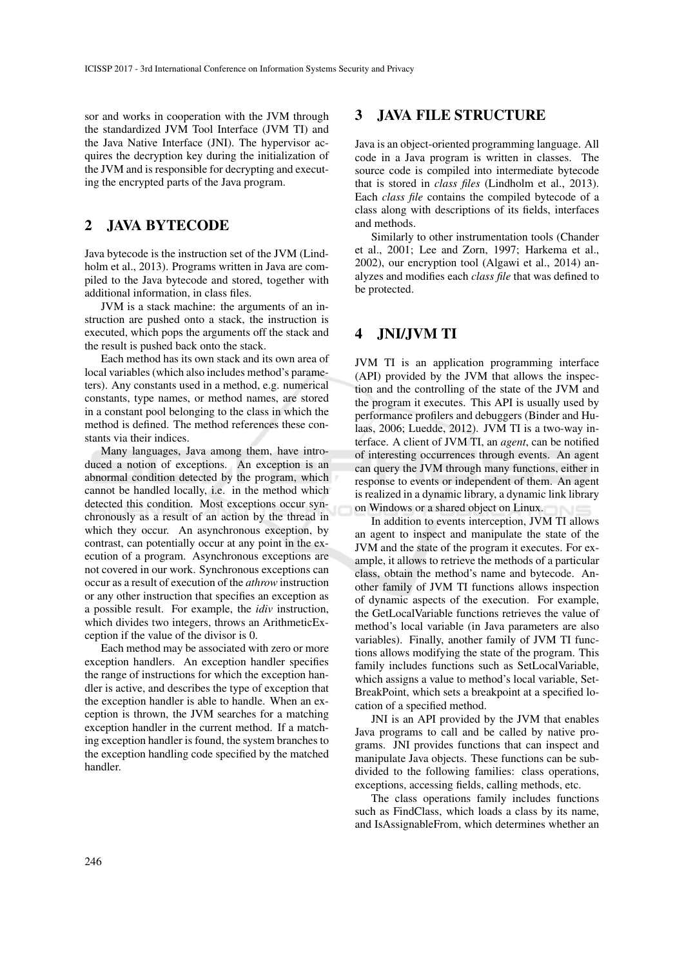sor and works in cooperation with the JVM through the standardized JVM Tool Interface (JVM TI) and the Java Native Interface (JNI). The hypervisor acquires the decryption key during the initialization of the JVM and is responsible for decrypting and executing the encrypted parts of the Java program.

## 2 JAVA BYTECODE

Java bytecode is the instruction set of the JVM (Lindholm et al., 2013). Programs written in Java are compiled to the Java bytecode and stored, together with additional information, in class files.

JVM is a stack machine: the arguments of an instruction are pushed onto a stack, the instruction is executed, which pops the arguments off the stack and the result is pushed back onto the stack.

Each method has its own stack and its own area of local variables (which also includes method's parameters). Any constants used in a method, e.g. numerical constants, type names, or method names, are stored in a constant pool belonging to the class in which the method is defined. The method references these constants via their indices.

Many languages, Java among them, have introduced a notion of exceptions. An exception is an abnormal condition detected by the program, which cannot be handled locally, i.e. in the method which detected this condition. Most exceptions occur synchronously as a result of an action by the thread in which they occur. An asynchronous exception, by contrast, can potentially occur at any point in the execution of a program. Asynchronous exceptions are not covered in our work. Synchronous exceptions can occur as a result of execution of the *athrow* instruction or any other instruction that specifies an exception as a possible result. For example, the *idiv* instruction, which divides two integers, throws an ArithmeticException if the value of the divisor is 0.

Each method may be associated with zero or more exception handlers. An exception handler specifies the range of instructions for which the exception handler is active, and describes the type of exception that the exception handler is able to handle. When an exception is thrown, the JVM searches for a matching exception handler in the current method. If a matching exception handler is found, the system branches to the exception handling code specified by the matched handler.

### 3 JAVA FILE STRUCTURE

Java is an object-oriented programming language. All code in a Java program is written in classes. The source code is compiled into intermediate bytecode that is stored in *class files* (Lindholm et al., 2013). Each *class file* contains the compiled bytecode of a class along with descriptions of its fields, interfaces and methods.

Similarly to other instrumentation tools (Chander et al., 2001; Lee and Zorn, 1997; Harkema et al., 2002), our encryption tool (Algawi et al., 2014) analyzes and modifies each *class file* that was defined to be protected.

## 4 JNI/JVM TI

JVM TI is an application programming interface (API) provided by the JVM that allows the inspection and the controlling of the state of the JVM and the program it executes. This API is usually used by performance profilers and debuggers (Binder and Hulaas, 2006; Luedde, 2012). JVM TI is a two-way interface. A client of JVM TI, an *agent*, can be notified of interesting occurrences through events. An agent can query the JVM through many functions, either in response to events or independent of them. An agent is realized in a dynamic library, a dynamic link library on Windows or a shared object on Linux.

In addition to events interception, JVM TI allows an agent to inspect and manipulate the state of the JVM and the state of the program it executes. For example, it allows to retrieve the methods of a particular class, obtain the method's name and bytecode. Another family of JVM TI functions allows inspection of dynamic aspects of the execution. For example, the GetLocalVariable functions retrieves the value of method's local variable (in Java parameters are also variables). Finally, another family of JVM TI functions allows modifying the state of the program. This family includes functions such as SetLocalVariable, which assigns a value to method's local variable, Set-BreakPoint, which sets a breakpoint at a specified location of a specified method.

JNI is an API provided by the JVM that enables Java programs to call and be called by native programs. JNI provides functions that can inspect and manipulate Java objects. These functions can be subdivided to the following families: class operations, exceptions, accessing fields, calling methods, etc.

The class operations family includes functions such as FindClass, which loads a class by its name, and IsAssignableFrom, which determines whether an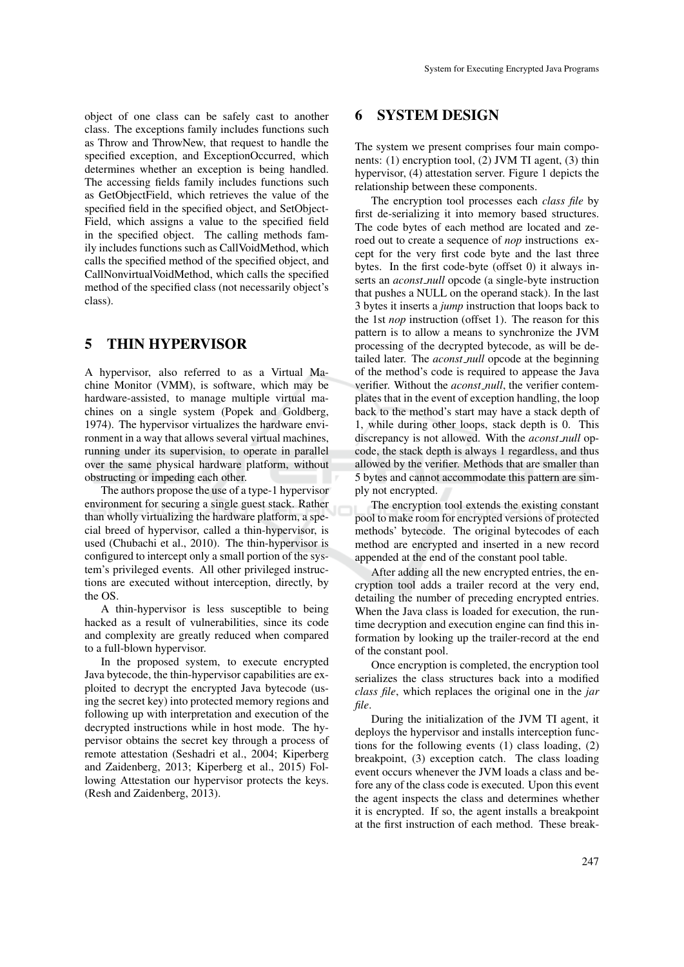object of one class can be safely cast to another class. The exceptions family includes functions such as Throw and ThrowNew, that request to handle the specified exception, and ExceptionOccurred, which determines whether an exception is being handled. The accessing fields family includes functions such as GetObjectField, which retrieves the value of the specified field in the specified object, and SetObject-Field, which assigns a value to the specified field in the specified object. The calling methods family includes functions such as CallVoidMethod, which calls the specified method of the specified object, and CallNonvirtualVoidMethod, which calls the specified method of the specified class (not necessarily object's class).

## 5 THIN HYPERVISOR

A hypervisor, also referred to as a Virtual Machine Monitor (VMM), is software, which may be hardware-assisted, to manage multiple virtual machines on a single system (Popek and Goldberg, 1974). The hypervisor virtualizes the hardware environment in a way that allows several virtual machines, running under its supervision, to operate in parallel over the same physical hardware platform, without obstructing or impeding each other.

The authors propose the use of a type-1 hypervisor environment for securing a single guest stack. Rather than wholly virtualizing the hardware platform, a special breed of hypervisor, called a thin-hypervisor, is used (Chubachi et al., 2010). The thin-hypervisor is configured to intercept only a small portion of the system's privileged events. All other privileged instructions are executed without interception, directly, by the OS.

A thin-hypervisor is less susceptible to being hacked as a result of vulnerabilities, since its code and complexity are greatly reduced when compared to a full-blown hypervisor.

In the proposed system, to execute encrypted Java bytecode, the thin-hypervisor capabilities are exploited to decrypt the encrypted Java bytecode (using the secret key) into protected memory regions and following up with interpretation and execution of the decrypted instructions while in host mode. The hypervisor obtains the secret key through a process of remote attestation (Seshadri et al., 2004; Kiperberg and Zaidenberg, 2013; Kiperberg et al., 2015) Following Attestation our hypervisor protects the keys. (Resh and Zaidenberg, 2013).

## 6 SYSTEM DESIGN

The system we present comprises four main components: (1) encryption tool, (2) JVM TI agent, (3) thin hypervisor, (4) attestation server. Figure 1 depicts the relationship between these components.

The encryption tool processes each *class file* by first de-serializing it into memory based structures. The code bytes of each method are located and zeroed out to create a sequence of *nop* instructions except for the very first code byte and the last three bytes. In the first code-byte (offset 0) it always inserts an *aconst null* opcode (a single-byte instruction that pushes a NULL on the operand stack). In the last 3 bytes it inserts a *jump* instruction that loops back to the 1st *nop* instruction (offset 1). The reason for this pattern is to allow a means to synchronize the JVM processing of the decrypted bytecode, as will be detailed later. The *aconst\_null* opcode at the beginning of the method's code is required to appease the Java verifier. Without the *aconst null*, the verifier contemplates that in the event of exception handling, the loop back to the method's start may have a stack depth of 1, while during other loops, stack depth is 0. This discrepancy is not allowed. With the *aconst null* opcode, the stack depth is always 1 regardless, and thus allowed by the verifier. Methods that are smaller than 5 bytes and cannot accommodate this pattern are simply not encrypted.

The encryption tool extends the existing constant pool to make room for encrypted versions of protected methods' bytecode. The original bytecodes of each method are encrypted and inserted in a new record appended at the end of the constant pool table.

After adding all the new encrypted entries, the encryption tool adds a trailer record at the very end, detailing the number of preceding encrypted entries. When the Java class is loaded for execution, the runtime decryption and execution engine can find this information by looking up the trailer-record at the end of the constant pool.

Once encryption is completed, the encryption tool serializes the class structures back into a modified *class file*, which replaces the original one in the *jar file*.

During the initialization of the JVM TI agent, it deploys the hypervisor and installs interception functions for the following events (1) class loading, (2) breakpoint, (3) exception catch. The class loading event occurs whenever the JVM loads a class and before any of the class code is executed. Upon this event the agent inspects the class and determines whether it is encrypted. If so, the agent installs a breakpoint at the first instruction of each method. These break-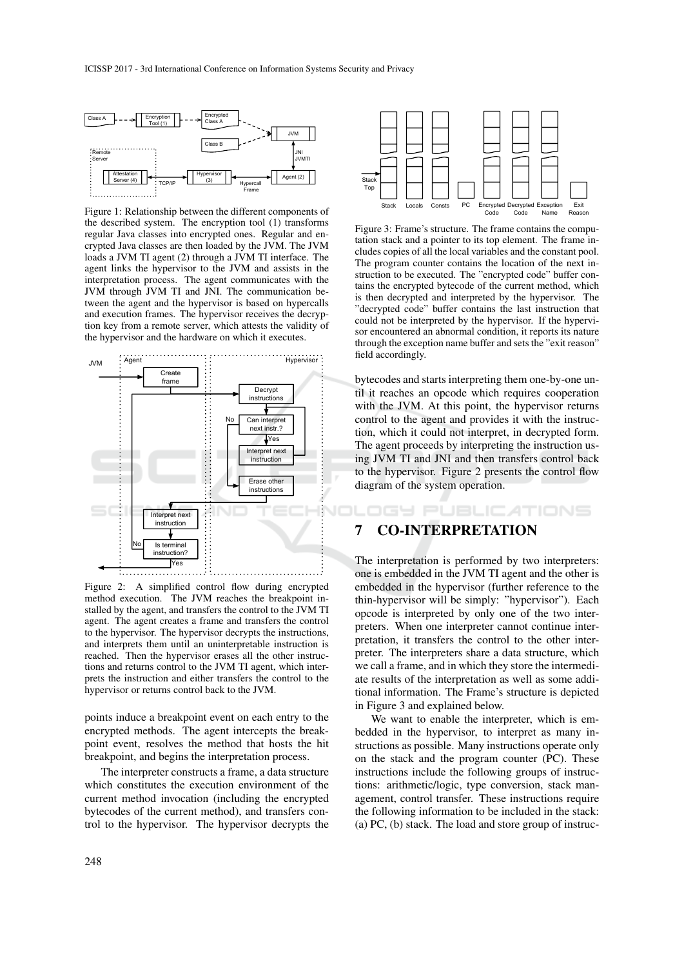

Figure 1: Relationship between the different components of the described system. The encryption tool (1) transforms regular Java classes into encrypted ones. Regular and encrypted Java classes are then loaded by the JVM. The JVM loads a JVM TI agent (2) through a JVM TI interface. The agent links the hypervisor to the JVM and assists in the interpretation process. The agent communicates with the JVM through JVM TI and JNI. The communication between the agent and the hypervisor is based on hypercalls and execution frames. The hypervisor receives the decryption key from a remote server, which attests the validity of the hypervisor and the hardware on which it executes.



Figure 2: A simplified control flow during encrypted method execution. The JVM reaches the breakpoint installed by the agent, and transfers the control to the JVM TI agent. The agent creates a frame and transfers the control to the hypervisor. The hypervisor decrypts the instructions, and interprets them until an uninterpretable instruction is reached. Then the hypervisor erases all the other instructions and returns control to the JVM TI agent, which interprets the instruction and either transfers the control to the hypervisor or returns control back to the JVM.

points induce a breakpoint event on each entry to the encrypted methods. The agent intercepts the breakpoint event, resolves the method that hosts the hit breakpoint, and begins the interpretation process.

The interpreter constructs a frame, a data structure which constitutes the execution environment of the current method invocation (including the encrypted bytecodes of the current method), and transfers control to the hypervisor. The hypervisor decrypts the



Figure 3: Frame's structure. The frame contains the computation stack and a pointer to its top element. The frame includes copies of all the local variables and the constant pool. The program counter contains the location of the next instruction to be executed. The "encrypted code" buffer contains the encrypted bytecode of the current method, which is then decrypted and interpreted by the hypervisor. The "decrypted code" buffer contains the last instruction that could not be interpreted by the hypervisor. If the hypervisor encountered an abnormal condition, it reports its nature through the exception name buffer and sets the "exit reason" field accordingly.

bytecodes and starts interpreting them one-by-one until it reaches an opcode which requires cooperation with the JVM. At this point, the hypervisor returns control to the agent and provides it with the instruction, which it could not interpret, in decrypted form. The agent proceeds by interpreting the instruction using JVM TI and JNI and then transfers control back to the hypervisor. Figure 2 presents the control flow diagram of the system operation.

IGY PUBLIC ATIONS

### 7 CO-INTERPRETATION

The interpretation is performed by two interpreters: one is embedded in the JVM TI agent and the other is embedded in the hypervisor (further reference to the thin-hypervisor will be simply: "hypervisor"). Each opcode is interpreted by only one of the two interpreters. When one interpreter cannot continue interpretation, it transfers the control to the other interpreter. The interpreters share a data structure, which we call a frame, and in which they store the intermediate results of the interpretation as well as some additional information. The Frame's structure is depicted in Figure 3 and explained below.

We want to enable the interpreter, which is embedded in the hypervisor, to interpret as many instructions as possible. Many instructions operate only on the stack and the program counter (PC). These instructions include the following groups of instructions: arithmetic/logic, type conversion, stack management, control transfer. These instructions require the following information to be included in the stack: (a) PC, (b) stack. The load and store group of instruc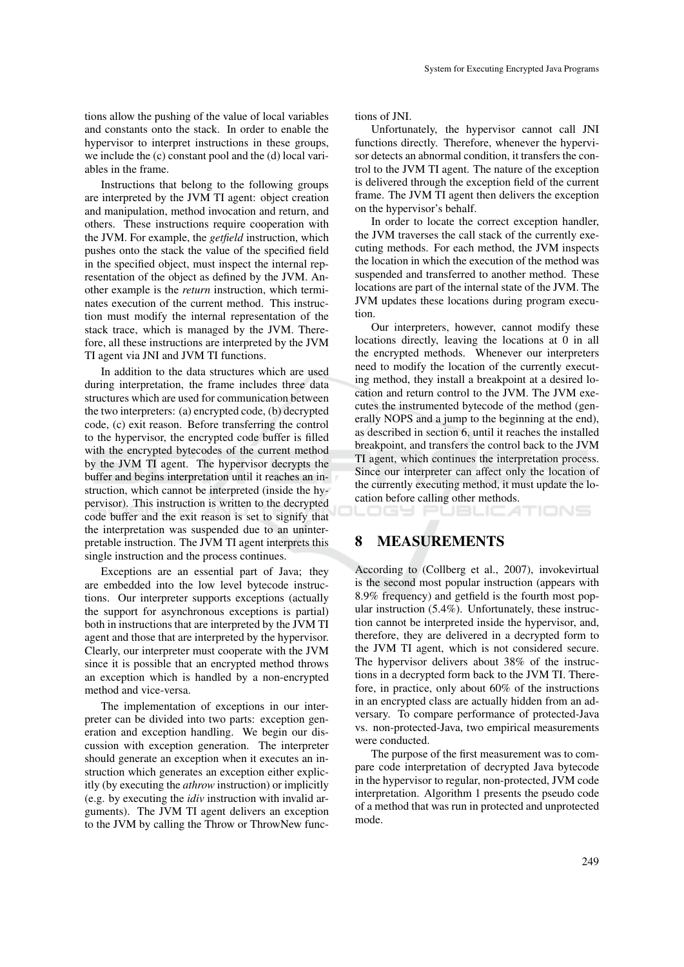tions allow the pushing of the value of local variables and constants onto the stack. In order to enable the hypervisor to interpret instructions in these groups, we include the (c) constant pool and the (d) local variables in the frame.

Instructions that belong to the following groups are interpreted by the JVM TI agent: object creation and manipulation, method invocation and return, and others. These instructions require cooperation with the JVM. For example, the *getfield* instruction, which pushes onto the stack the value of the specified field in the specified object, must inspect the internal representation of the object as defined by the JVM. Another example is the *return* instruction, which terminates execution of the current method. This instruction must modify the internal representation of the stack trace, which is managed by the JVM. Therefore, all these instructions are interpreted by the JVM TI agent via JNI and JVM TI functions.

In addition to the data structures which are used during interpretation, the frame includes three data structures which are used for communication between the two interpreters: (a) encrypted code, (b) decrypted code, (c) exit reason. Before transferring the control to the hypervisor, the encrypted code buffer is filled with the encrypted bytecodes of the current method by the JVM TI agent. The hypervisor decrypts the buffer and begins interpretation until it reaches an instruction, which cannot be interpreted (inside the hypervisor). This instruction is written to the decrypted code buffer and the exit reason is set to signify that the interpretation was suspended due to an uninterpretable instruction. The JVM TI agent interprets this single instruction and the process continues.

Exceptions are an essential part of Java; they are embedded into the low level bytecode instructions. Our interpreter supports exceptions (actually the support for asynchronous exceptions is partial) both in instructions that are interpreted by the JVM TI agent and those that are interpreted by the hypervisor. Clearly, our interpreter must cooperate with the JVM since it is possible that an encrypted method throws an exception which is handled by a non-encrypted method and vice-versa.

The implementation of exceptions in our interpreter can be divided into two parts: exception generation and exception handling. We begin our discussion with exception generation. The interpreter should generate an exception when it executes an instruction which generates an exception either explicitly (by executing the *athrow* instruction) or implicitly (e.g. by executing the *idiv* instruction with invalid arguments). The JVM TI agent delivers an exception to the JVM by calling the Throw or ThrowNew functions of JNI.

Unfortunately, the hypervisor cannot call JNI functions directly. Therefore, whenever the hypervisor detects an abnormal condition, it transfers the control to the JVM TI agent. The nature of the exception is delivered through the exception field of the current frame. The JVM TI agent then delivers the exception on the hypervisor's behalf.

In order to locate the correct exception handler, the JVM traverses the call stack of the currently executing methods. For each method, the JVM inspects the location in which the execution of the method was suspended and transferred to another method. These locations are part of the internal state of the JVM. The JVM updates these locations during program execution.

Our interpreters, however, cannot modify these locations directly, leaving the locations at 0 in all the encrypted methods. Whenever our interpreters need to modify the location of the currently executing method, they install a breakpoint at a desired location and return control to the JVM. The JVM executes the instrumented bytecode of the method (generally NOPS and a jump to the beginning at the end), as described in section 6, until it reaches the installed breakpoint, and transfers the control back to the JVM TI agent, which continues the interpretation process. Since our interpreter can affect only the location of the currently executing method, it must update the location before calling other methods.

LOGY PUBLICATIONS

## 8 MEASUREMENTS

According to (Collberg et al., 2007), invokevirtual is the second most popular instruction (appears with 8.9% frequency) and getfield is the fourth most popular instruction (5.4%). Unfortunately, these instruction cannot be interpreted inside the hypervisor, and, therefore, they are delivered in a decrypted form to the JVM TI agent, which is not considered secure. The hypervisor delivers about 38% of the instructions in a decrypted form back to the JVM TI. Therefore, in practice, only about 60% of the instructions in an encrypted class are actually hidden from an adversary. To compare performance of protected-Java vs. non-protected-Java, two empirical measurements were conducted.

The purpose of the first measurement was to compare code interpretation of decrypted Java bytecode in the hypervisor to regular, non-protected, JVM code interpretation. Algorithm 1 presents the pseudo code of a method that was run in protected and unprotected mode.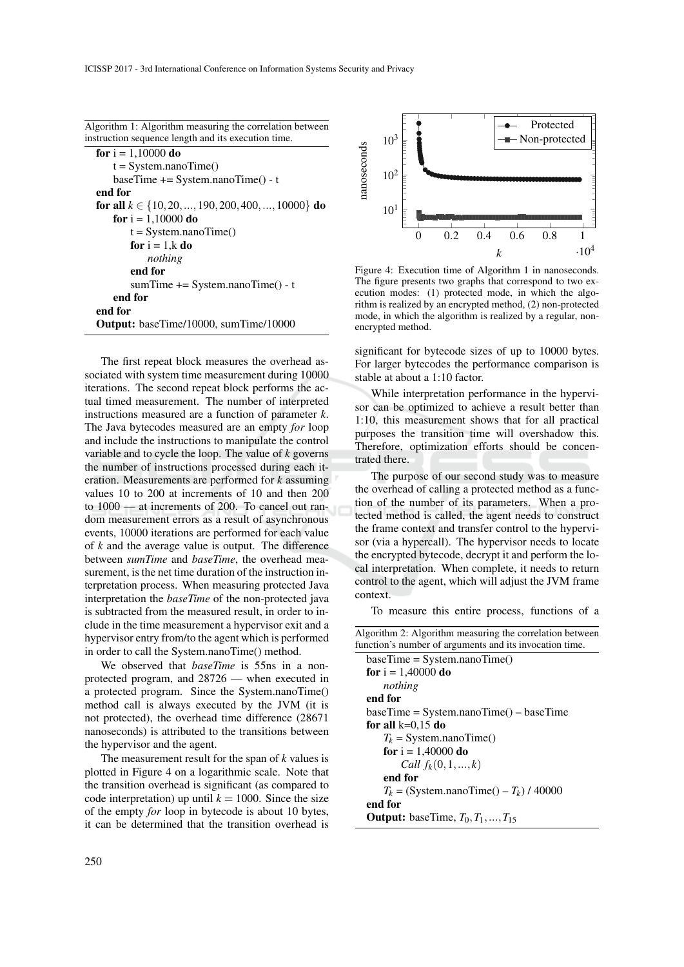| Algorithm 1: Algorithm measuring the correlation between |  |
|----------------------------------------------------------|--|
| instruction sequence length and its execution time.      |  |

```
for i = 1,10000 do
   t = System.nameTime()baseTime += System.nanoTime() - t
end for
for all k \in \{10, 20, ..., 190, 200, 400, ..., 10000\} do
   for i = 1,10000 do
       t = System.nameTime()for i = 1, k do
          nothing
       end for
       sumTime += System.nanoTime() - t
   end for
end for
Output: baseTime/10000, sumTime/10000
```
The first repeat block measures the overhead associated with system time measurement during 10000 iterations. The second repeat block performs the actual timed measurement. The number of interpreted instructions measured are a function of parameter *k*. The Java bytecodes measured are an empty *for* loop and include the instructions to manipulate the control variable and to cycle the loop. The value of *k* governs the number of instructions processed during each iteration. Measurements are performed for *k* assuming values 10 to 200 at increments of 10 and then 200 to 1000 — at increments of 200. To cancel out random measurement errors as a result of asynchronous events, 10000 iterations are performed for each value of *k* and the average value is output. The difference between *sumTime* and *baseTime*, the overhead measurement, is the net time duration of the instruction interpretation process. When measuring protected Java interpretation the *baseTime* of the non-protected java is subtracted from the measured result, in order to include in the time measurement a hypervisor exit and a hypervisor entry from/to the agent which is performed in order to call the System.nanoTime() method.

We observed that *baseTime* is 55ns in a nonprotected program, and 28726 — when executed in a protected program. Since the System.nanoTime() method call is always executed by the JVM (it is not protected), the overhead time difference (28671 nanoseconds) is attributed to the transitions between the hypervisor and the agent.

The measurement result for the span of *k* values is plotted in Figure 4 on a logarithmic scale. Note that the transition overhead is significant (as compared to code interpretation) up until  $k = 1000$ . Since the size of the empty *for* loop in bytecode is about 10 bytes, it can be determined that the transition overhead is



Figure 4: Execution time of Algorithm 1 in nanoseconds. The figure presents two graphs that correspond to two execution modes: (1) protected mode, in which the algorithm is realized by an encrypted method, (2) non-protected mode, in which the algorithm is realized by a regular, nonencrypted method.

significant for bytecode sizes of up to 10000 bytes. For larger bytecodes the performance comparison is stable at about a 1:10 factor.

While interpretation performance in the hypervisor can be optimized to achieve a result better than 1:10, this measurement shows that for all practical purposes the transition time will overshadow this. Therefore, optimization efforts should be concentrated there.

The purpose of our second study was to measure the overhead of calling a protected method as a function of the number of its parameters. When a protected method is called, the agent needs to construct the frame context and transfer control to the hypervisor (via a hypercall). The hypervisor needs to locate the encrypted bytecode, decrypt it and perform the local interpretation. When complete, it needs to return control to the agent, which will adjust the JVM frame context.

To measure this entire process, functions of a

| Algorithm 2: Algorithm measuring the correlation between |  |  |  |
|----------------------------------------------------------|--|--|--|
| function's number of arguments and its invocation time.  |  |  |  |

| $baseTime = System.nameTime()$                |
|-----------------------------------------------|
| for $i = 1,40000$ do                          |
| nothing                                       |
| end for                                       |
| $baseTime = System.nameTime() - baseTime$     |
| for all $k=0.15$ do                           |
| $T_k$ = System.nanoTime()                     |
| for $i = 1,40000$ do                          |
| <i>Call</i> $f_k(0,1,,k)$                     |
| end for                                       |
| $T_k =$ (System.nanoTime() – $T_k$ ) / 40000  |
| end for                                       |
| <b>Output:</b> baseTime, $T_0, T_1, , T_{15}$ |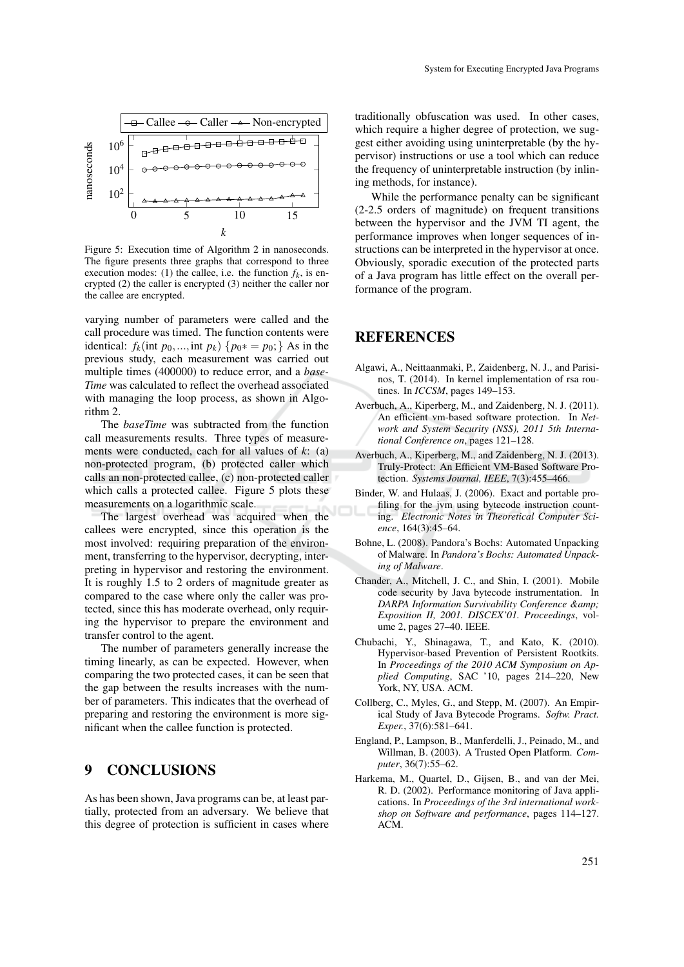

Figure 5: Execution time of Algorithm 2 in nanoseconds. The figure presents three graphs that correspond to three execution modes: (1) the callee, i.e. the function  $f_k$ , is encrypted (2) the caller is encrypted (3) neither the caller nor the callee are encrypted.

varying number of parameters were called and the call procedure was timed. The function contents were identical:  $f_k$ (int  $p_0$ ,...,int  $p_k$ ) { $p_0* = p_0$ ;} As in the previous study, each measurement was carried out multiple times (400000) to reduce error, and a *base-Time* was calculated to reflect the overhead associated with managing the loop process, as shown in Algorithm 2.

The *baseTime* was subtracted from the function call measurements results. Three types of measurements were conducted, each for all values of *k*: (a) non-protected program, (b) protected caller which calls an non-protected callee, (c) non-protected caller which calls a protected callee. Figure 5 plots these measurements on a logarithmic scale.

The largest overhead was acquired when the callees were encrypted, since this operation is the most involved: requiring preparation of the environment, transferring to the hypervisor, decrypting, interpreting in hypervisor and restoring the environment. It is roughly 1.5 to 2 orders of magnitude greater as compared to the case where only the caller was protected, since this has moderate overhead, only requiring the hypervisor to prepare the environment and transfer control to the agent.

The number of parameters generally increase the timing linearly, as can be expected. However, when comparing the two protected cases, it can be seen that the gap between the results increases with the number of parameters. This indicates that the overhead of preparing and restoring the environment is more significant when the callee function is protected.

#### 9 CONCLUSIONS

As has been shown, Java programs can be, at least partially, protected from an adversary. We believe that this degree of protection is sufficient in cases where

traditionally obfuscation was used. In other cases, which require a higher degree of protection, we suggest either avoiding using uninterpretable (by the hypervisor) instructions or use a tool which can reduce the frequency of uninterpretable instruction (by inlining methods, for instance).

While the performance penalty can be significant (2-2.5 orders of magnitude) on frequent transitions between the hypervisor and the JVM TI agent, the performance improves when longer sequences of instructions can be interpreted in the hypervisor at once. Obviously, sporadic execution of the protected parts of a Java program has little effect on the overall performance of the program.

### REFERENCES

- Algawi, A., Neittaanmaki, P., Zaidenberg, N. J., and Parisinos, T. (2014). In kernel implementation of rsa routines. In *ICCSM*, pages 149–153.
- Averbuch, A., Kiperberg, M., and Zaidenberg, N. J. (2011). An efficient vm-based software protection. In *Network and System Security (NSS), 2011 5th International Conference on*, pages 121–128.
- Averbuch, A., Kiperberg, M., and Zaidenberg, N. J. (2013). Truly-Protect: An Efficient VM-Based Software Protection. *Systems Journal, IEEE*, 7(3):455–466.
- Binder, W. and Hulaas, J. (2006). Exact and portable profiling for the jvm using bytecode instruction counting. *Electronic Notes in Theoretical Computer Science*, 164(3):45–64.
- Bohne, L. (2008). Pandora's Bochs: Automated Unpacking of Malware. In *Pandora's Bochs: Automated Unpacking of Malware*.
- Chander, A., Mitchell, J. C., and Shin, I. (2001). Mobile code security by Java bytecode instrumentation. In *DARPA Information Survivability Conference & Exposition II, 2001. DISCEX'01. Proceedings*, volume 2, pages 27–40. IEEE.
- Chubachi, Y., Shinagawa, T., and Kato, K. (2010). Hypervisor-based Prevention of Persistent Rootkits. In *Proceedings of the 2010 ACM Symposium on Applied Computing*, SAC '10, pages 214–220, New York, NY, USA. ACM.
- Collberg, C., Myles, G., and Stepp, M. (2007). An Empirical Study of Java Bytecode Programs. *Softw. Pract. Exper.*, 37(6):581–641.
- England, P., Lampson, B., Manferdelli, J., Peinado, M., and Willman, B. (2003). A Trusted Open Platform. *Computer*, 36(7):55–62.
- Harkema, M., Quartel, D., Gijsen, B., and van der Mei, R. D. (2002). Performance monitoring of Java applications. In *Proceedings of the 3rd international workshop on Software and performance*, pages 114–127. ACM.